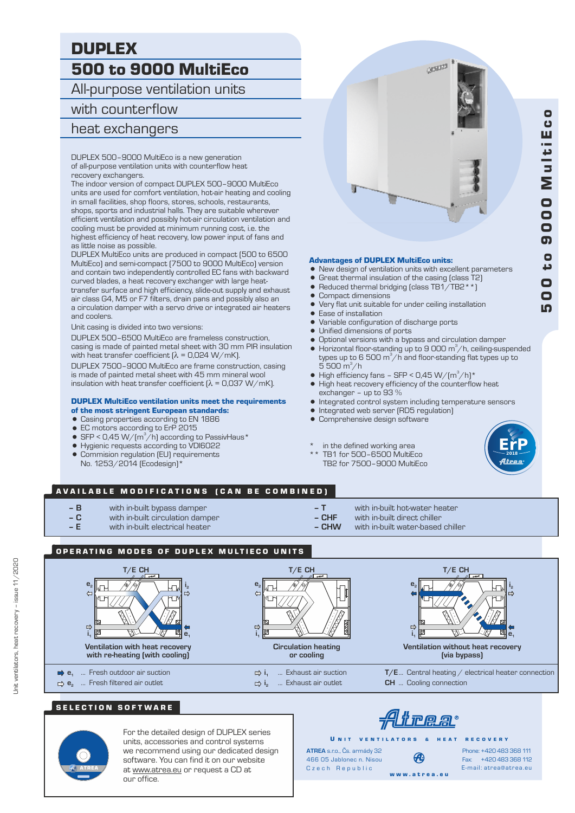# DUPLEX 500 to 9000 MultiEco

All-purpose ventilation units

# with counterflow

# heat exchangers

DUPLEX 500–9000 MultiEco is a new generation of all-purpose ventilation units with counterflow heat recovery exchangers.

The indoor version of compact DUPLEX 500–9000 MultiEco units are used for comfort ventilation, hot-air heating and cooling in small facilities, shop floors, stores, schools, restaurants, shops, sports and industrial halls. They are suitable wherever efficient ventilation and possibly hot-air circulation ventilation and cooling must be provided at minimum running cost, i.e. the highest efficiency of heat recovery, low power input of fans and as little noise as possible.

DUPLEX MultiEco units are produced in compact (500 to 6500 MultiEco) and semi-compact (7500 to 9000 MultiEco) version and contain two independently controlled EC fans with backward curved blades, a heat recovery exchanger with large heattransfer surface and high efficiency, slide-out supply and exhaust air class G4, M5 or F7 filters, drain pans and possibly also an a circulation damper with a servo drive or integrated air heaters and coolers.

Unit casing is divided into two versions:

DUPLEX 7500–9000 MultiEco are frame construction, casing DUPLEX 500-6500 MultiEco are frameless construction,<br>
• Optional versions with a bypass and circulation damper casing is made of painted metal sheet with 30 mm PIR insulation with heat transfer coefficient  $\lambda$  = 0,024 W/mK).

is made of painted metal sheet with 45 mm mineral wool insulation with heat transfer coefficient  $[\lambda = 0.037 \text{ W/mK}]$ .

#### DUPLEX MultiEco ventilation units meet the requirements of the most stringent European standards:

• Casing properties according to EN 1886

- EC motors according to ErP 2015
- SFP < 0,45 W/ $(m^3/h)$  according to PassivHaus\*
- = Hygienic requests according to VDI6022
- Commision regulation (EU) requirements
- No. 1253/2014 (Ecodesign)\*



#### Advantages of DUPLEX MultiEco units:

- New design of ventilation units with excellent parameters<br>• Great thermal insulation of the casing (class T2)
- Great thermal insulation of the casing (class T2)<br>• Reduced thermal bridging (class TB1/TB2\*\*)
- Reduced thermal bridging (class TB1/TB2 $*$ \*)
- Compact dimensions
- Very flat unit suitable for under ceiling installation<br>• Ease of installation
- Ease of installation
- 
- Variable configuration of discharge ports<br>• Unified dimensions of ports Unified dimensions of ports
- 
- $\bullet$  Horizontal floor-standing up to 9 000 m<sup>3</sup>/h, ceiling-suspended types up to 6 500 m $^3\!/$ h and floor-standing flat types up to  $5500 m^3/h$
- High efficiency fans SFP < 0,45 W/ $(m^3/h)^*$ <br>• High heat recovery efficiency of the counterflow
- High heat recovery efficiency of the counterflow heat exchanger – up to 93 %
- Integrated control system including temperature sensors
- Integrated web server (RD5 regulation)
- Comprehensive design software
- in the defined working area
- TB1 for 500-6500 MultiEco TB2 for 7500–9000 MultiEco



### AVAILABLE MODIFICATIONS (CAN BE COMBINED)

- **– B** with in-built bypass damper
- **C** with in-built circulation damper  **CHF** with in-built direct chiller
- with in-built electrical heater
- **T** with in-built hot-water heater
- 
- with in-built water-based chiller

### OPERATING MODES OF DUPLEX MULTIECO UNITS



#### SELECTION SOFTWARE



Unit ventilators, heat recovery – issue 11/2020

Jnit ventilators, heat recovery - issue 11/2020

For the detailed design of DUPLEX series units, accessories and control systems we recommend using our dedicated design software. You can find it on our website at www.atrea.eu or request a CD at our office.

# Trea

w w w . a t r e a . e u

U N IT VENTILATORS & HEAT RECOVERY

**ATREA** s.r.o., Čs. armády 32 Ð 466 05 Jablonec n. Nisou Czech Republic

co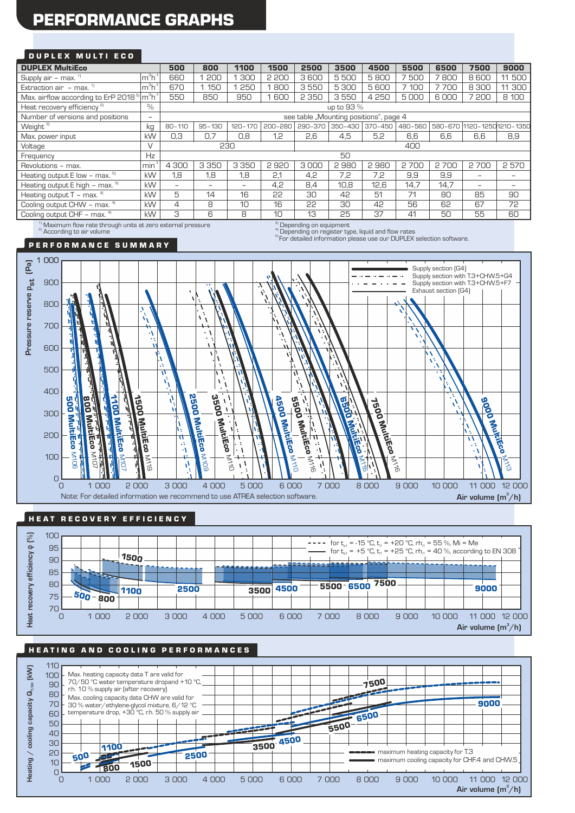# PERFORMANCE GRAPHS

#### DUPLEX MULTI ECO

| <b>DUPLEX MultiEco</b>                                                                                                                                                                           |                                 | 500                                    | 800        | 1100            | 1500    | 2500    | 3500    | 4500        | 5500    | 6500 | 7500                       | 9000                     |
|--------------------------------------------------------------------------------------------------------------------------------------------------------------------------------------------------|---------------------------------|----------------------------------------|------------|-----------------|---------|---------|---------|-------------|---------|------|----------------------------|--------------------------|
| Supply air - max. $1$                                                                                                                                                                            | lm~h                            | 660                                    | 200        | 300             | 2 200   | 3600    | 5500    | 5800        | 7500    | 7800 | 8600                       | 11 500                   |
| Extraction air $-$ max. $1$                                                                                                                                                                      | $3 - 1$<br>lm h                 | 670                                    | 150        | 250             | 800     | 3550    | 5 300   | 5600        | 7 100   | 7700 | 8 300                      | 11 300                   |
| Max. airflow according to ErP 2018 <sup>51</sup>                                                                                                                                                 | $\mathsf{Im}^{3}\mathsf{h}^{4}$ | 550                                    | 850        | 950             | 600     | 2 3 5 0 | 3550    | 4250        | 5000    | 6000 | 7 200                      | 8 100                    |
| Heat recovery efficiency <sup>2)</sup>                                                                                                                                                           | $\%$                            | up to 93 %                             |            |                 |         |         |         |             |         |      |                            |                          |
| Number of versions and positions                                                                                                                                                                 | $\overline{\phantom{a}}$        | see table "Mounting positions", page 4 |            |                 |         |         |         |             |         |      |                            |                          |
| Weight <sup>31</sup>                                                                                                                                                                             | kg                              | $80 - 110$                             | $95 - 130$ | $120 - 170$     | 200-280 | 290-370 | 350-430 | $370 - 450$ | 480-560 |      | 580-670 1120-12501210-1350 |                          |
| Max. power input                                                                                                                                                                                 | kW                              | 0,3                                    | 0,7        | 0,8             | 1,2     | 2,6     | 4,5     | 5,2         | 6,6     | 6,6  | 6,6                        | 8,9                      |
| Voltage                                                                                                                                                                                          | V                               | 230                                    |            |                 |         | 400     |         |             |         |      |                            |                          |
| Frequency                                                                                                                                                                                        | <b>Hz</b>                       |                                        |            |                 |         |         | 50      |             |         |      |                            |                          |
| Revolutions - max.                                                                                                                                                                               | min                             | 4 300                                  | 3 3 5 0    | 3 3 5 0         | 2920    | 3000    | 2980    | 2980        | 2700    | 2700 | 2700                       | 2570                     |
| Heating output $E$ low - max. $5$                                                                                                                                                                | kW                              | 1.8                                    | 1.8        | 1.8             | 2,1     | 4,2     | 7.2     | 7,2         | 9,9     | 9.9  |                            |                          |
| Heating output E high - max. 51                                                                                                                                                                  | kW                              | $\qquad \qquad$                        |            | $\qquad \qquad$ | 4,2     | 8,4     | 10,8    | 12,6        | 14,7    | 14,7 | $\overline{\phantom{0}}$   | $\overline{\phantom{0}}$ |
| Heating output $T - \text{max.}^{4}$                                                                                                                                                             | kW                              | 5                                      | 14         | 16              | 22      | 30      | 42      | 51          | 71      | 80   | 85                         | 90                       |
| Cooling output CHW - max. 41                                                                                                                                                                     | kW                              | 4                                      | 8          | 10              | 16      | 55      | 30      | 42          | 56      | 62   | 67                         | 72                       |
| Cooling output CHF - max. 41                                                                                                                                                                     | kW                              | З                                      | 6          | 8               | 10      | 13      | 25      | 37          | 41      | 50   | 55                         | 60                       |
| <sup>3)</sup> Depending on equipment<br>" Maximum flow rate through units at zero external pressure<br><sup>2</sup> According to air volume<br>Depending on register type, liquid and flow rates |                                 |                                        |            |                 |         |         |         |             |         |      |                            |                          |

<sup>5)</sup> For detailed information please use our DUPLEX selection software.





#### HEAT RECOVERY EFFICIENCY



#### HEATING AND COOLING PERFORMANCES

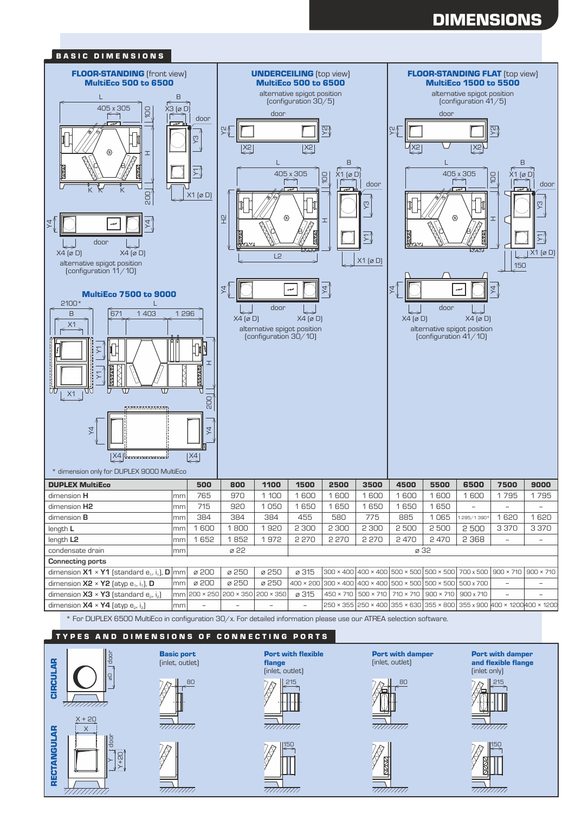# DIMENSIONS



#### TYPES AND DIMENSIONS OF CONNECTING PORTS



door

an Jator

≻∣ Y+20



Basic port









Port with damper (inlet, outlet)





 $\frac{150}{2}$  1150  $\frac{1}{2}$  1150  $\frac{1}{2}$  1150  $\frac{1}{2}$  1150  $\frac{1}{2}$  $\overline{\mathbf{X}}$  $\overline{m}\overline{m}\overline{m}$ 

Port with damper and flexible flange (inlet only)





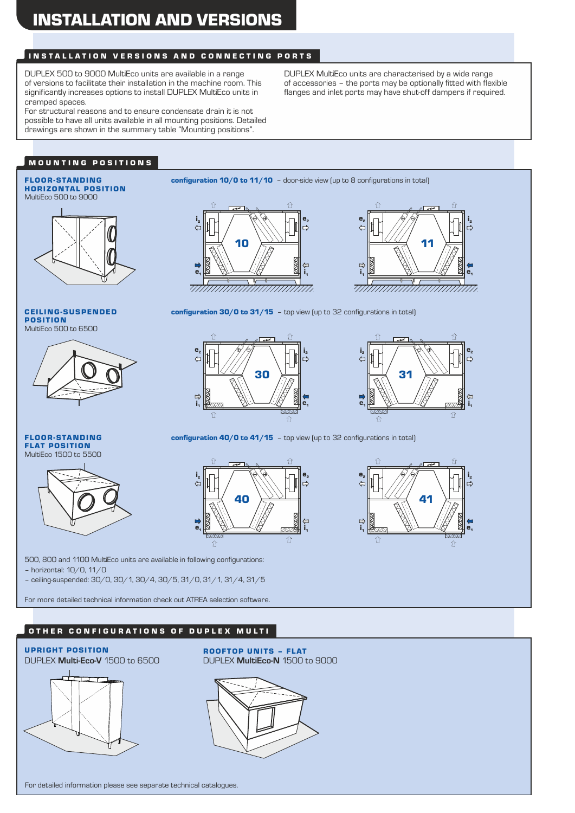## INSTALLATION VERSIONS AND CONNECTING PORTS

DUPLEX 500 to 9000 MultiEco units are available in a range of versions to facilitate their installation in the machine room. This significantly increases options to install DUPLEX MultiEco units in cramped spaces.

For structural reasons and to ensure condensate drain it is not possible to have all units available in all mounting positions. Detailed drawings are shown in the summary table "Mounting positions".

DUPLEX MultiEco units are characterised by a wide range of accessories – the ports may be optionally fitted with flexible flanges and inlet ports may have shut-off dampers if required.

## MOUNTING POSITIONS

FLOOR-STANDING configuration 10/0 to 11/10 - door-side view (up to 8 configurations in total)



POSITION MultiEco 500 to 6500













configuration 40/0 to 41/15 - top view (up to 32 configurations in total)

#### MultiEco 1500 to 5500 FLOOR-STANDING FLAT POSITION







– horizontal: 10/0, 11/0 500, 800 and 1100 MultiEco units are available in following configurations:

– ceiling-suspended: 30/0, 30/1, 30/4, 30/5, 31/0, 31/1, 31/4, 31/5

For more detailed technical information check out ATREA selection software.

### OTHER CONFIGURATIONS OF DUPLEX MULTI

**DUPLEX Multi-Eco-V** 1500 to 6500



UPRIGHT POSITION<br>DUPLEX Multi-Eco-V 1500 to 6500 DUPLEX MultiEco-N 1500 to 9000

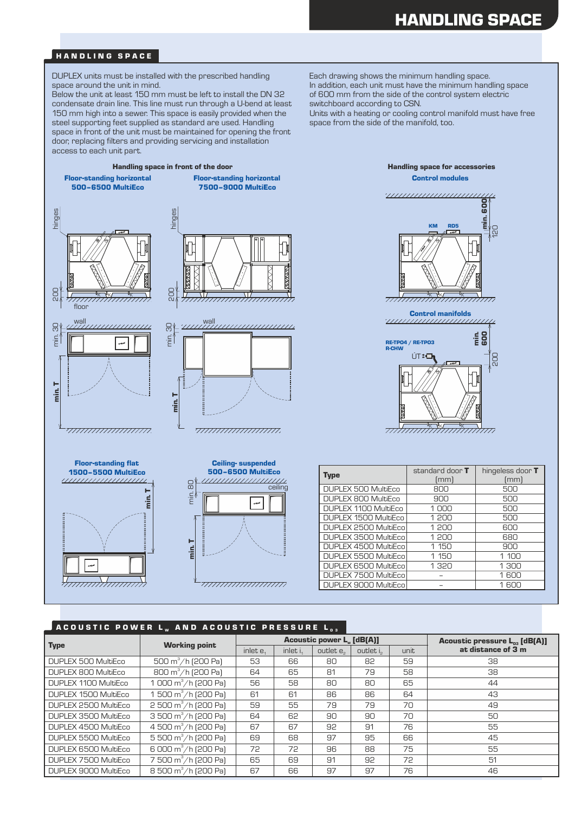#### HANDLING SPACE

DUPLEX units must be installed with the prescribed handling space around the unit in mind.

Below the unit at least 150 mm must be left to install the DN 32 condensate drain line. This line must run through a U-bend at least 150 mm high into a sewer. This space is easily provided when the steel supporting feet supplied as standard are used. Handling space in front of the unit must be maintained for opening the front door, replacing filters and providing servicing and installation access to each unit part.

Each drawing shows the minimum handling space. In addition, each unit must have the minimum handling space of 600 mm from the side of the control system electric switchboard according to CSN.

Units with a heating or cooling control manifold must have free space from the side of the manifold, too.







Type standard door T (mm) hingeless door T (mm) DUPLEX 500 MultiEco | 800 | 500 DUPLEX 800 MultiEco | 900 | 500 DUPLEX 1100 MultiEco | 1000 | 500 DUPLEX 1500 MultiEco | 1 200 | 500 DUPLEX 2500 MultiEco | 1 200 | 600 DUPLEX 3500 MultiEco | 1 200 | 680 DUPLEX 4500 MultiEco | 1 150 | 900 DUPLEX 5500 MultiEco | 1 150 | 1 100 DUPLEX 6500 MultiEco | 1320 | 1300 DUPLEX 7500 MultiEco | 1600

<del>minmärkunkundur</del>

|                      |                                          |             |          | <b>Acoustic power L. [dB(A)]</b> | Acoustic pressure $L_{03}$ [dB(A)] |      |                    |
|----------------------|------------------------------------------|-------------|----------|----------------------------------|------------------------------------|------|--------------------|
| <b>Type</b>          | <b>Working point</b>                     | inlet $e_1$ | inlet i. | outlet e <sub>2</sub>            | outlet i <sub>2</sub>              | unit | at distance of 3 m |
| DUPLEX 500 MultiEco  | $500 \,\mathrm{m}^3/\mathrm{h}$ [200 Pa] | 53          | 66       | 80                               | 82                                 | 59   | 38                 |
| DUPLEX 800 MultiEco  | 800 m <sup>3</sup> /h (200 Pa)           | 64          | 65       | 81                               | 79                                 | 58   | 38                 |
| DUPLEX 1100 MultiEco | 1 000 $\text{m}^3/\text{h}$ [200 Pa]     | 56          | 58       | BD                               | 80                                 | 65   | 44                 |
| DUPLEX 1500 MultiEco | 1 500 m <sup>3</sup> /h (200 Pa)         | 61          | 61       | 86                               | 86                                 | 64   | 43                 |
| DUPLEX 2500 MultiEco | 2 500 $m^3/h$ (200 Pa)                   | 59          | 55       | 79                               | 79                                 | 70   | 49                 |
| DUPLEX 3500 MultiEco | 3 500 $\text{m}^3/\text{h}$ (200 Pa)     | 64          | 62       | 90                               | 90                                 | 70   | 50                 |
| DUPLEX 4500 MultiEco | 4 500 m <sup>3</sup> /h [200 Pa]         | 67          | 67       | 92                               | .91                                | 76   | 55                 |
| DUPLEX 5500 MultiEco | 5 500 m <sup>3</sup> /h [200 Pa]         | 69          | 68       | 97                               | 95                                 | 66   | 45                 |
| DUPLEX 6500 MultiEco | 6 000 m <sup>3</sup> /h (200 Pa)         | 72          | 72       | 96                               | 88                                 | 75   | 55                 |
| DUPLEX 7500 MultiEco | 7 500 m <sup>3</sup> /h [200 Pa]         | 65          | 69       | 91                               | 92                                 | 72   | 51                 |
| DUPLEX 9000 MultiEco | 8 500 m <sup>3</sup> /h (200 Pa)         | 67          | 66       | 97                               | 97                                 | 76   | 46                 |



| Type                  | stanuaru uuur l<br>[mm] | <b>TIILIYEIESS UUUL T</b><br>[mm] |
|-----------------------|-------------------------|-----------------------------------|
| DUPLEX 500 MultiEco   | 800                     | 500                               |
| DUPLEX 800 MultiEco   | 900                     | 500                               |
| DUPLEX 1100 MultiEco  | 1000                    | 500                               |
| DUPLEX 1500 MultiEco  | 1 200                   | 500                               |
| DUPLEX 2500 MultiEcol | 1 200                   | 600                               |
| DUPLEX 3500 MultiEcol | 1 200                   | 680                               |
| DUPLEX 4500 MultiEcol | 1 150                   | 900                               |
| DUPLEX 5500 MultiEcol | 1 150                   | 1 1 0 0                           |
| DUPLEX 6500 MultiEcol | 1 320                   | 1 300                             |
| DUPLEX 7500 MultiEcol |                         | 1600                              |
| DUPLEX 9000 MultiEcol |                         | 1600                              |
|                       |                         |                                   |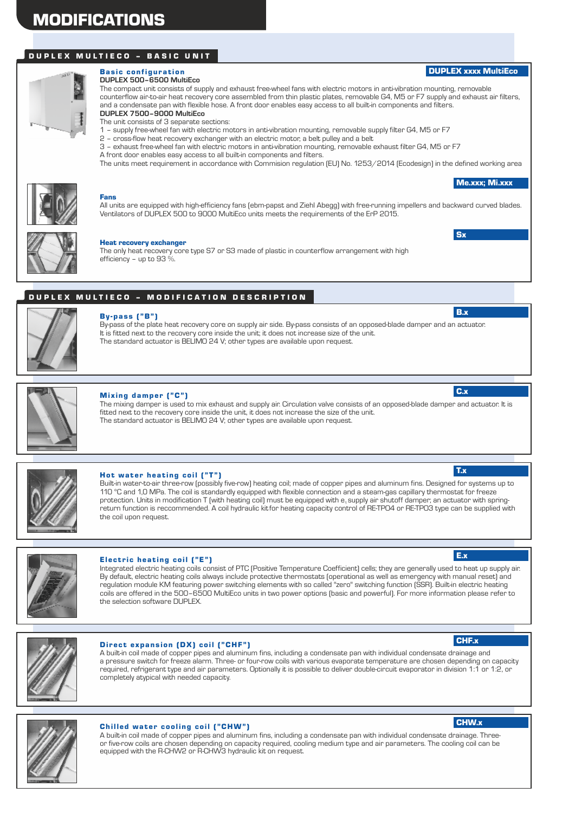### DUPLEX MULTIECO - BASIC UNIT



#### **Basic configuration DUPLEX 500–6500 MultiEco**

The compact unit consists of supply and exhaust free-wheel fans with electric motors in anti-vibration mounting, removable counterflow air-to-air heat recovery core assembled from thin plastic plates, removable G4, M5 or F7 supply and exhaust air filters, and a condensate pan with flexible hose. A front door enables easy access to all built-in components and filters. **DUPLEX 7500–9000 MultiEco**

The unit consists of 3 separate sections:

1 – supply free-wheel fan with electric motors in anti-vibration mounting, removable supply filter G4, M5 or F7

- 2 cross-flow heat recovery exchanger with an electric motor, a belt pulley and a belt
- 3 exhaust free-wheel fan with electric motors in anti-vibration mounting, removable exhaust filter G4, M5 or F7 A front door enables easy access to all built-in components and filters.

The units meet requirement in accordance with Commision regulation (EU) No. 1253/2014 (Ecodesign) in the defined working area



#### Fans

All units are equipped with high-efficiency fans (ebm-papst and Ziehl Abegg) with free-running impellers and backward curved blades. Ventilators of DUPLEX 500 to 9000 MultiEco units meets the requirements of the ErP 2015.



#### Heat recovery exchanger

The only heat recovery core type S7 or S3 made of plastic in counterflow arrangement with high efficiency – up to 93 %.

### D U P L E X M U L T I E C O – M O D I F I C A T I O N D E S C R I P T I O N



#### By-pass ("B")

By-pass of the plate heat recovery core on supply air side. By-pass consists of an opposed-blade damper and an actuator. It is fitted next to the recovery core inside the unit; it does not increase size of the unit. The standard actuator is BELIMO 24 V; other types are available upon request.



#### **Mixing damper ("C")**

The mixing damper is used to mix exhaust and supply air. Circulation valve consists of an opposed-blade damper and actuator. It is fitted next to the recovery core inside the unit, it does not increase the size of the unit. The standard actuator is BELIMO 24 V; other types are available upon request.



#### Hot water heating coil ("T")

Built-in water-to-air three-row (possibly five-row) heating coil; made of copper pipes and aluminum fins. Designed for systems up to 110 °C and 1,0 MPa. The coil is standardly equipped with flexible connection and a steam-gas capillary thermostat for freeze protection. Units in modification T (with heating coil) must be equipped with e<sub>1</sub> supply air shutoff damper; an actuator with springreturn function is reccommended. A coil hydraulic kitfor heating capacity control of RE-TPO4 or RE-TPO3 type can be supplied with the coil upon request.



#### Electric heating coil ("E")

Integrated electric heating coils consist of PTC (Positive Temperature Coefficient) cells; they are generally used to heat up supply air. By default, electric heating coils always include protective thermostats (operational as well as emergency with manual reset) and regulation module KM featuring power switching elements with so called "zero" switching function (SSR). Built-in electric heating coils are offered in the 500–6500 MultiEco units in two power options (basic and powerful). For more information please refer to the selection software DUPLEX.



#### Direct expansion (DX) coil ("CHF")

A built-in coil made of copper pipes and aluminum fins, including a condensate pan with individual condensate drainage and a pressure switch for freeze alarm. Three- or four-row coils with various evaporate temperature are chosen depending on capacity required, refrigerant type and air parameters. Optionally it is possible to deliver double-circuit evaporator in division 1:1 or 1:2, or completely atypical with needed capacity.



#### Chilled water cooling coil ("CHW")

A built-in coil made of copper pipes and aluminum fins, including a condensate pan with individual condensate drainage. Threeor five-row coils are chosen depending on capacity required, cooling medium type and air parameters. The cooling coil can be equipped with the R-CHW2 or R-CHW3 hydraulic kit on request.

# E.x

### CHF.x





Me.xxx; Mi.xxx

DUPLEX xxxx MultiEco

**Sx** 

B.x

C.x

T.x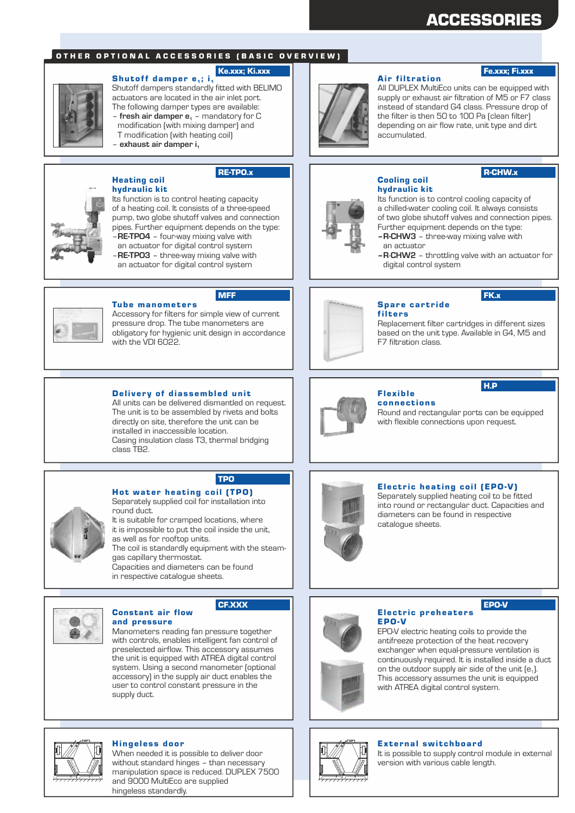# ACCESSORIES

#### OTHER OPTIONAL ACCESSORIES (BASIC OVERVIEW)

#### Ke.xxx; Ki.xxx

Shutoff damper  $e_1$ ; i<sub>1</sub> Shutoff dampers standardly fitted with BELIMO actuators are located in the air inlet port. The following damper types are available:

- **fresh air damper e** mandatory for C **<sup>1</sup>** modification (with mixing damper) and
- T modification (with heating coil)
- **exhaust air damper i<sup>1</sup>**



## RE-TPO.x

MFF

hydraulic kit Its function is to control heating capacity of a heating coil. It consists of a three-speed pump, two globe shutoff valves and connection pipes. Further equipment depends on the type: –**RE-TPO4** – four-way mixing valve with an actuator for digital control system

–**RE-TPO3** – three-way mixing valve with an actuator for digital control system



#### **Tube manometers**

Accessory for filters for simple view of current pressure drop. The tube manometers are obligatory for hygienic unit design in accordance with the VDI 6022.

#### Delivery of diassembled unit

All units can be delivered dismantled on request. The unit is to be assembled by rivets and bolts directly on site, therefore the unit can be installed in inaccessible location. Casing insulation class T3, thermal bridging class TB2.



TPO

# Hot water heating coil (TPO)

Separately supplied coil for installation into round duct.

It is suitable for cramped locations, where it is impossible to put the coil inside the unit, as well as for rooftop units.

The coil is standardly equipment with the steamgas capillary thermostat.

Capacities and diameters can be found in respective catalogue sheets.



#### Constant air flow CF.XXX

Manometers reading fan pressure together with controls, enables intelligent fan control of preselected airflow. This accessory assumes the unit is equipped with ATREA digital control system. Using a second manometer (optional accessory) in the supply air duct enables the user to control constant pressure in the supply duct. and pressure



#### **Air filtration**

#### Fe.xxx; Fi.xxx

All DUPLEX MultiEco units can be equipped with supply or exhaust air filtration of M5 or F7 class instead of standard G4 class. Pressure drop of the filter is then 50 to 100 Pa (clean filter) depending on air flow rate, unit type and dirt accumulated.

### Cooling coil hydraulic kit

#### R-CHW.x

FK.x

H.P

Its function is to control cooling capacity of a chilled-water cooling coil. It always consists of two globe shutoff valves and connection pipes. Further equipment depends on the type:

- **–R-CHW3** three-way mixing valve with an actuator
- **–R**-**CHW2** throttling valve with an actuator for
- digital control system



#### Spare cartride filters

Replacement filter cartridges in different sizes based on the unit type. Available in G4, M5 and F7 filtration class.



# Flex ible

Round and rectangular ports can be equipped with flexible connections upon request. connections



#### Electric heating coil (EPO-V)

Separately supplied heating coil to be fitted into round or rectangular duct. Capacities and diameters can be found in respective catalogue sheets.

EPO-V

#### Electric preheaters EPO-V

EPO-V electric heating coils to provide the antifreeze protection of the heat recovery exchanger when equal-pressure ventilation is continuously required. It is installed inside a duct on the outdoor supply air side of the unit  $[e_1]$ . This accessory assumes the unit is equipped with ATREA digital control system.



#### External switchboard

It is possible to supply control module in external version with various cable length.



#### Hingeless door

When needed it is possible to deliver door without standard hinges – than necessary manipulation space is reduced. DUPLEX 7500 and 9000 MultiEco are supplied hingeless standardly.